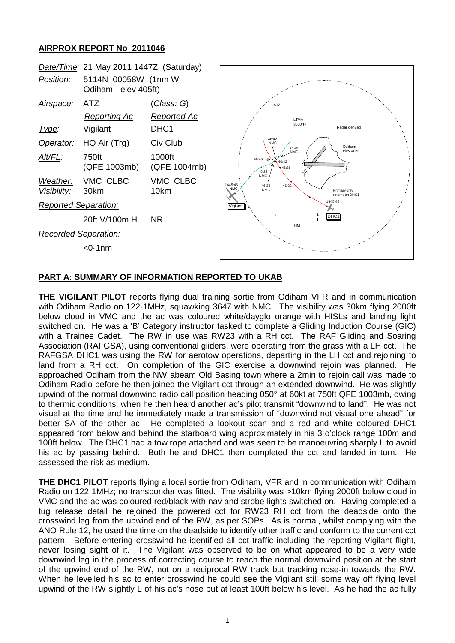## **AIRPROX REPORT No 2011046**



## **PART A: SUMMARY OF INFORMATION REPORTED TO UKAB**

**THE VIGILANT PILOT** reports flying dual training sortie from Odiham VFR and in communication with Odiham Radio on 122·1MHz, squawking 3647 with NMC. The visibility was 30km flying 2000ft below cloud in VMC and the ac was coloured white/dayglo orange with HISLs and landing light switched on. He was a 'B' Category instructor tasked to complete a Gliding Induction Course (GIC) with a Trainee Cadet. The RW in use was RW23 with a RH cct. The RAF Gliding and Soaring Association (RAFGSA), using conventional gliders, were operating from the grass with a LH cct. The RAFGSA DHC1 was using the RW for aerotow operations, departing in the LH cct and rejoining to land from a RH cct. On completion of the GIC exercise a downwind rejoin was planned. He approached Odiham from the NW abeam Old Basing town where a 2min to rejoin call was made to Odiham Radio before he then joined the Vigilant cct through an extended downwind. He was slightly upwind of the normal downwind radio call position heading 050° at 60kt at 750ft QFE 1003mb, owing to thermic conditions, when he then heard another ac's pilot transmit "downwind to land". He was not visual at the time and he immediately made a transmission of "downwind not visual one ahead" for better SA of the other ac. He completed a lookout scan and a red and white coloured DHC1 appeared from below and behind the starboard wing approximately in his 3 o'clock range 100m and 100ft below. The DHC1 had a tow rope attached and was seen to be manoeuvring sharply L to avoid his ac by passing behind. Both he and DHC1 then completed the cct and landed in turn. He assessed the risk as medium.

**THE DHC1 PILOT** reports flying a local sortie from Odiham, VFR and in communication with Odiham Radio on 122·1MHz; no transponder was fitted. The visibility was >10km flying 2000ft below cloud in VMC and the ac was coloured red/black with nav and strobe lights switched on. Having completed a tug release detail he rejoined the powered cct for RW23 RH cct from the deadside onto the crosswind leg from the upwind end of the RW, as per SOPs. As is normal, whilst complying with the ANO Rule 12, he used the time on the deadside to identify other traffic and conform to the current cct pattern. Before entering crosswind he identified all cct traffic including the reporting Vigilant flight, never losing sight of it. The Vigilant was observed to be on what appeared to be a very wide downwind leg in the process of correcting course to reach the normal downwind position at the start of the upwind end of the RW, not on a reciprocal RW track but tracking nose-in towards the RW. When he levelled his ac to enter crosswind he could see the Vigilant still some way off flying level upwind of the RW slightly L of his ac's nose but at least 100ft below his level. As he had the ac fully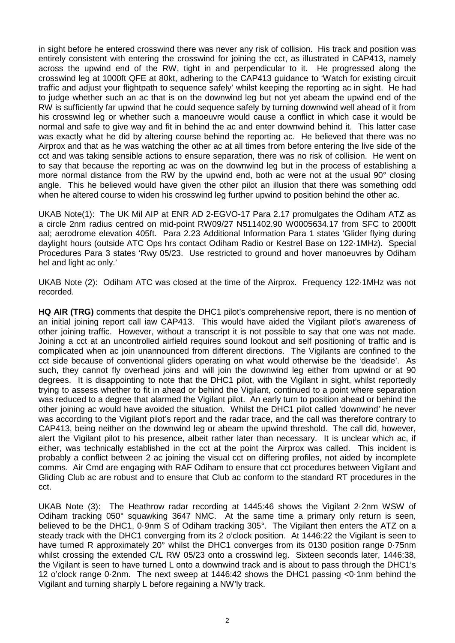in sight before he entered crosswind there was never any risk of collision. His track and position was entirely consistent with entering the crosswind for joining the cct, as illustrated in CAP413, namely across the upwind end of the RW, tight in and perpendicular to it. He progressed along the crosswind leg at 1000ft QFE at 80kt, adhering to the CAP413 guidance to 'Watch for existing circuit traffic and adjust your flightpath to sequence safely' whilst keeping the reporting ac in sight. He had to judge whether such an ac that is on the downwind leg but not yet abeam the upwind end of the RW is sufficiently far upwind that he could sequence safely by turning downwind well ahead of it from his crosswind leg or whether such a manoeuvre would cause a conflict in which case it would be normal and safe to give way and fit in behind the ac and enter downwind behind it. This latter case was exactly what he did by altering course behind the reporting ac. He believed that there was no Airprox and that as he was watching the other ac at all times from before entering the live side of the cct and was taking sensible actions to ensure separation, there was no risk of collision. He went on to say that because the reporting ac was on the downwind leg but in the process of establishing a more normal distance from the RW by the upwind end, both ac were not at the usual 90° closing angle. This he believed would have given the other pilot an illusion that there was something odd when he altered course to widen his crosswind leg further upwind to position behind the other ac.

UKAB Note(1): The UK Mil AIP at ENR AD 2-EGVO-17 Para 2.17 promulgates the Odiham ATZ as a circle 2nm radius centred on mid-point RW09/27 N511402.90 W0005634.17 from SFC to 2000ft aal; aerodrome elevation 405ft. Para 2.23 Additional Information Para 1 states 'Glider flying during daylight hours (outside ATC Ops hrs contact Odiham Radio or Kestrel Base on 122·1MHz). Special Procedures Para 3 states 'Rwy 05/23. Use restricted to ground and hover manoeuvres by Odiham hel and light ac only.'

UKAB Note (2): Odiham ATC was closed at the time of the Airprox. Frequency 122·1MHz was not recorded.

**HQ AIR (TRG)** comments that despite the DHC1 pilot's comprehensive report, there is no mention of an initial joining report call iaw CAP413. This would have aided the Vigilant pilot's awareness of other joining traffic. However, without a transcript it is not possible to say that one was not made. Joining a cct at an uncontrolled airfield requires sound lookout and self positioning of traffic and is complicated when ac join unannounced from different directions. The Vigilants are confined to the cct side because of conventional gliders operating on what would otherwise be the 'deadside'. As such, they cannot fly overhead joins and will join the downwind leg either from upwind or at 90 degrees. It is disappointing to note that the DHC1 pilot, with the Vigilant in sight, whilst reportedly trying to assess whether to fit in ahead or behind the Vigilant, continued to a point where separation was reduced to a degree that alarmed the Vigilant pilot. An early turn to position ahead or behind the other joining ac would have avoided the situation. Whilst the DHC1 pilot called 'downwind' he never was according to the Vigilant pilot's report and the radar trace, and the call was therefore contrary to CAP413, being neither on the downwind leg or abeam the upwind threshold. The call did, however, alert the Vigilant pilot to his presence, albeit rather later than necessary. It is unclear which ac, if either, was technically established in the cct at the point the Airprox was called. This incident is probably a conflict between 2 ac joining the visual cct on differing profiles, not aided by incomplete comms. Air Cmd are engaging with RAF Odiham to ensure that cct procedures between Vigilant and Gliding Club ac are robust and to ensure that Club ac conform to the standard RT procedures in the cct.

UKAB Note (3): The Heathrow radar recording at 1445:46 shows the Vigilant 2·2nm WSW of Odiham tracking 050° squawking 3647 NMC. At the same time a primary only return is seen, believed to be the DHC1, 0·9nm S of Odiham tracking 305°. The Vigilant then enters the ATZ on a steady track with the DHC1 converging from its 2 o'clock position. At 1446:22 the Vigilant is seen to have turned R approximately 20° whilst the DHC1 converges from its 0130 position range 0.75nm whilst crossing the extended C/L RW 05/23 onto a crosswind leg. Sixteen seconds later, 1446:38, the Vigilant is seen to have turned L onto a downwind track and is about to pass through the DHC1's 12 o'clock range 0·2nm. The next sweep at 1446:42 shows the DHC1 passing <0·1nm behind the Vigilant and turning sharply L before regaining a NW'ly track.